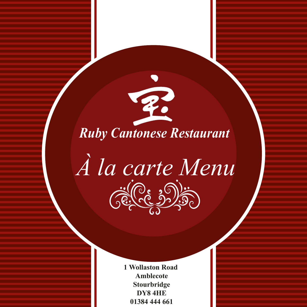

*À la carte Menu*  $(\hat{\mathbb{R}}^{(0\epsilon, 5)}),$ 

> **1 Wollaston Road Amblecote Stourbridge DY8 4HE 01384 444 661**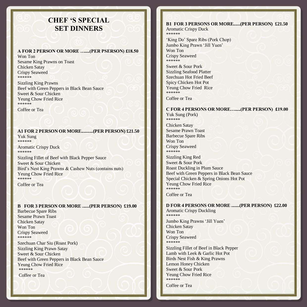# **CHEF 'S SPECIAL SET DINNERS**

#### **A FOR 2 PERSON OR MORE …....(PER PSERSON) £18.50**

Won Ton Sesame King Prawns on Toast Chicken Satay Crispy Seaweed \*\*\*\*\*\*

Sizzling King Prawns Beef with Green Peppers in Black Bean Sauce Sweet & Sour Chicken Yeung Chow Fried Rice \*\*\*\*\*\*

Coffee or Tea

#### **A1 FOR 2 PERSON OR MORE..........(PER PERSON) £21.50** Yuk Sung \*\*\*\*\*\*

Aromatic Crispy Duck \*\*\*\*\*\*

Sizzling Fillet of Beef with Black Pepper Sauce Sweet & Sour Chicken Bird's Nest King Prawns & Cashew Nuts (contains nuts) Yeung Chow Fried Rice \*\*\*\*\*\* Coffee or Tea

### **B FOR 3 PERSON OR MORE ......(PER PERSON) £19.00**

Barbecue Spare Ribs Sesame Prawn Toast Chicken Satay Won Ton Crispy Seaweed \*\*\*\*\*\*

Szechuan Char Siu (Roast Pork) Sizzling King Prawn Satay Sweet & Sour Chicken Beef with Green Peppers in Black Bean Sauce Yeung Chow Fried Rice \*\*\*\*\*\*

Coffee or Tea

### **B1 FOR 3 PERSONS OR MORE......(PER PERSON) £21.50**

Aromatic Crispy Duck \*\*\*\*\*\*

'King Do' Spare Ribs (Pork Chop) Jumbo King Prawn 'Jill Yuen' Won Ton Crispy Seaweed \*\*\*\*\*\*

Sweet & Sour Pork Sizzling Seafood Platter Szechuan Hot Fried Beef Spicy Chicken Hot Pot Yeung Chow Fried Rice \*\*\*\*\*\*

Coffee or Tea

#### **C FOR 4 PERSONS OR MORE….....(PER PERSON) £19.00** Yuk Sung (Pork)

\*\*\*\*\*\*

Chicken Satay Sesame Prawn Toast Barbecue Spare Ribs Won Ton Crispy Seaweed \*\*\*\*\*\*

Sizzling King Red Sweet & Sour Pork Roast Duckling in Plum Sauce Beef with Green Peppers in Black Bean Sauce Special Chicken & Spring Onions Hot Pot Yeung Chow Fried Rice \*\*\*\*\*\*\*\*\*\*

Coffee or Tea

# **D FOR 4 PERSONS OR MORE .......(PER PERSON) £22.00**

Aromatic Crispy Duckling \*\*\*\*\*\* Jumbo King Prawns 'Jill Yuen' Chicken Satay

Won Ton Crispy Seaweed \*\*\*\*\*\*

Sizzling Fillet of Beef in Black Pepper Lamb with Leek & Garlic Hot Pot Birds Nest Fish & King Prawns Lemon Honey Chicken Sweet & Sour Pork Yeung Chow Fried Rice \*\*\*\*\*\*

Coffee or Tea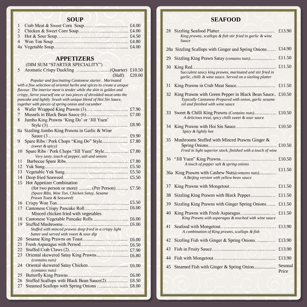## **SOUP**

 **APPETIZERS**

(DIM SUM "STARTER SPECIALITY")

|  | $(Half)$ £20.00 |  |
|--|-----------------|--|

 *Popular and fascinating Cantonese starter. Marinated with a fine selection of oriental herbs and spices to create a unique flavour. The interior meat is tender while the skin is golden and crispy, Serve yourself one or two pieces of shredded meat onto the pancake and lightly brush with unique blend of Hoi Sin Sauce, together with pieces of spring onion and cucumber*  6 Wafer Wrapped King Prawns (3)……......….........……. £7.90 7 Mussels in Black Bean Sauce (6)……............…….…... £7.00 8 Jumbo King Prawns 'King Do' or 'Jill Yuen' Style (3)……………..…...….....................….…...... £8.90 8a Sizzling Jumbo King Prawns in Garlic & Wine Sauce (3.………...…………....................…..……... £9.90 9 Spare Ribs / Pork Chops "King Do" Style.........……..... £7.80  *(sweet & spicy)*  10 Spare Ribs / Pork Chops "Jill Yuen" Style....…..……... £7.80  *Very tasty, touch of pepper, salt and onions* 11 Barbecue Spare Ribs………………...........…...…..….. £7.80 12 Yuk Sung.………………..……............……..…..…..... £5.50 13 Vegetable Yuk Sung…………..…..............…...…........ £5.50 14 Deep fried Seaweed…………...…............…….…........ £5.50 15 Hot Appetizer Combination (for two person or more) …........(Per Person)……... £7.50  *(Spare Ribs, Won Ton, Chicken Satay, Sesame Prawn Toast & Seaweed)* 16 Crispy Won Ton………………...........……...….…....... £5.50 17 Cantonese Crispy Pancake Roll…….............….…........ £6.00 Minced chicken fried with vegetables 18 Cantonese Vegetable Pancake Rolls............…..……..... £6.00 19 Stuffed Mushrooms……...………............….….…........ £6.00 *Stuffed with minced prawns deep fried in a crispy light batter and served with sweet & sour dip* 20 Sesame King Prawns on Toast…............…………....... £6.00 21 Fresh Asparagus with Pernod….........……………….... £6.50 22 Stuffed Crab Claws (2)…………........……………....... £7.90 23 Oriental skewered Satay King Prawns........….……....... £6.80  *(contains nuts)*  24 Oriental skewered Satay Chicken…........…….……...... £6.00  *(contains nuts)*  25 Butterfly King Prawns………........……………....….... £6.00 26 Stuffed Scallops with Black Bean Sauce(2).................. £8.50 27 Steamed Scallops with Spring Onions ….......................... £8.00

# **SEAFOOD**

| 28 | King prawns, scallops & fish stir fried in garlic & wine<br>Sauce                                                                               | £13.90           |
|----|-------------------------------------------------------------------------------------------------------------------------------------------------|------------------|
|    | 28a Sizzling Scallops with Ginger and Spring Onions                                                                                             | £14.90           |
| 29 | Sizzling King Prawn Satay (contains nuts)                                                                                                       | £11.50           |
| 30 | Succulent saucy king prawns, marinated and stir fried in<br>garlic, chilli & wine sauce. Served on a sizzling platter                           | £11.50           |
| 31 |                                                                                                                                                 | £11.50           |
| 32 | King Prawns with Green Pepper in Black Bean Sauce<br>Typically Cantonese Prepared with onion, garlic sesame<br>oil and finished with wine sauce | £10.50           |
| 33 | Sweet & Chilli King Prawns <i>(Contains nuts)</i><br>A delicious treat, spicy chilli sweet & sour sauce                                         | £10.50           |
| 34 | Spicy & lightly hot                                                                                                                             | £10.50           |
| 35 | Mushrooms Stuffed with Minced Prawns Ginger &<br>Fried in light superior stock, finished with a touch of wine                                   | £10.50           |
| 36 | A touch of pepper salt & spring onions                                                                                                          | £10.50           |
|    | 36a King Prawns with Cashew Nuts(contains nuts)<br>A Beijing version with yellow bean sauce                                                     | £11.50           |
| 37 |                                                                                                                                                 | £11.50           |
| 38 | Sizzling King Prawns with Black Pepper                                                                                                          | £11.50           |
| 39 | Sizzling King Prawns with Ginger Spring Onions                                                                                                  | £11.50           |
| 40 | King Prawns with asparagus & touched with wine sauce                                                                                            | £11.50           |
| 41 | A combination of King prawns, scallops & fish                                                                                                   | £13.90           |
| 42 | Sizzling Fish with Ginger & Spring Onions                                                                                                       | £13.90           |
| 43 |                                                                                                                                                 | £13.90           |
| 44 |                                                                                                                                                 | £13.90           |
| 45 |                                                                                                                                                 | Sesonal<br>Price |

֠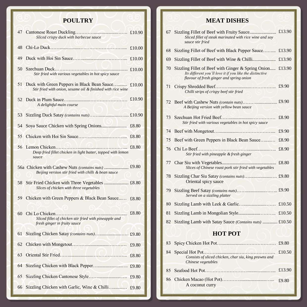# **POULTRY**

| 47 | Sliced crispy duck with barbecue sauce                                                                     |        |
|----|------------------------------------------------------------------------------------------------------------|--------|
| 48 |                                                                                                            | £10.00 |
| 49 |                                                                                                            | £10.00 |
| 50 | Stir fried with various vegetables in hot spicy sauce                                                      | £10.00 |
| 51 | Duck with Green Peppers in Black Bean Sauce<br>Stir fried with onion, sesame oil & finished with rice wine | £10.00 |
| 52 | A delightful main course                                                                                   | £10.90 |
| 53 |                                                                                                            |        |
| 54 |                                                                                                            | £8.80  |
| 55 |                                                                                                            | £8.80  |
| 56 | Deep fried fillet chicken in light batter, topped with lemon<br>sauce                                      | £8.80  |
|    | Beijing version stir fried with chilli & bean sauce                                                        |        |
| 58 | Slices of chicken with three vegetables                                                                    |        |
| 59 | Chicken with Green Peppers & Black Bean Sauce                                                              | £8.80  |
| 60 | Sliced fillet of chicken stir fried with pineapple and<br>fresh ginger in fruity sauce                     | £8.80  |
| 61 |                                                                                                            |        |
| 62 |                                                                                                            | £9.80  |
| 63 |                                                                                                            | £8.80  |
| 64 | Sizzling Chicken with Black Pepper                                                                         | £9.80  |
| 65 |                                                                                                            | £9.80  |
| 66 | Sizzling Chicken with Garlic, Wine & Chilli                                                                | £9.80  |

# **MEAT DISHES**

| 67             | Sliced fillet of steak marinated with rice wine and soy<br>sauce stir fried                                                                                | £13.90 |
|----------------|------------------------------------------------------------------------------------------------------------------------------------------------------------|--------|
| 68             | Sizzling Fillet of Beef with Black Pepper Sauce                                                                                                            | £13.90 |
| 69             |                                                                                                                                                            | £13.90 |
| 70             | Sizzling Fillet of Beef with Ginger & Spring Onion<br>Its different you'll love it if you like the distinctive<br>flavour of fresh ginger and spring onion | £13.90 |
| 71             | Chilli strips of crispy beef stir fried                                                                                                                    | £9.90  |
| 72             | A Beijing version with yellow bean sauce                                                                                                                   |        |
| 73             | Stir fried with various vegetables in hot spicy sauce                                                                                                      | £8.90  |
| 74             |                                                                                                                                                            | £9.90  |
| 75             | Beef with Green Peppers in Black Bean Sauce                                                                                                                | £8.90  |
| 76             | Stir fried with pineapple & fresh ginger                                                                                                                   | £8.90  |
| 77             | Slices of Chinese roast pork stir fried with vegetables                                                                                                    | £8.80  |
| 78             | Oriental spicy sauce                                                                                                                                       |        |
| 79             | Served on a sizzling platter                                                                                                                               |        |
| 80             |                                                                                                                                                            | £10.50 |
| 81             |                                                                                                                                                            |        |
| 82             | Sizzling Lamb with Satay Sauce (Contains nuts)  £10.50                                                                                                     |        |
| <b>HOT POT</b> |                                                                                                                                                            |        |
| 83             |                                                                                                                                                            | £9.80  |
| 84             | Consists of sliced chicken, char siu, king prawns and<br>Chinese vegetables                                                                                | £10.50 |
| 85             |                                                                                                                                                            | £13.90 |
| 86             | A coconut curry                                                                                                                                            | £9.80  |

i

ł